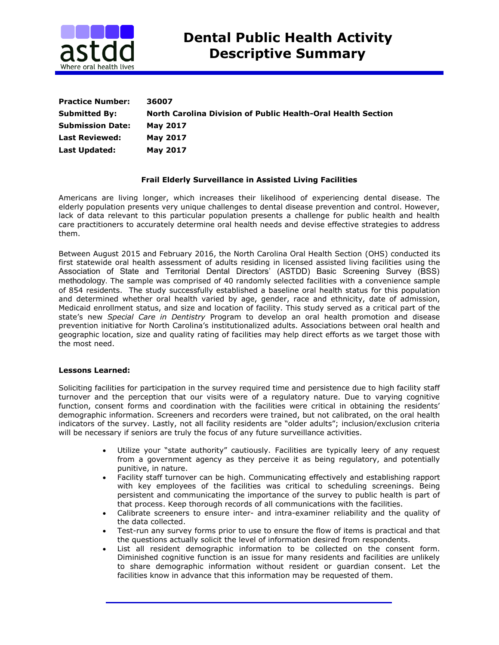

| <b>Practice Number:</b> | 36007                                                        |
|-------------------------|--------------------------------------------------------------|
| <b>Submitted By:</b>    | North Carolina Division of Public Health-Oral Health Section |
| <b>Submission Date:</b> | <b>May 2017</b>                                              |
| <b>Last Reviewed:</b>   | <b>May 2017</b>                                              |
| <b>Last Updated:</b>    | <b>May 2017</b>                                              |

## **Frail Elderly Surveillance in Assisted Living Facilities**

Americans are living longer, which increases their likelihood of experiencing dental disease. The elderly population presents very unique challenges to dental disease prevention and control. However, lack of data relevant to this particular population presents a challenge for public health and health care practitioners to accurately determine oral health needs and devise effective strategies to address them.

Between August 2015 and February 2016, the North Carolina Oral Health Section (OHS) conducted its first statewide oral health assessment of adults residing in licensed assisted living facilities using the Association of State and Territorial Dental Directors' (ASTDD) Basic Screening Survey (BSS) methodology. The sample was comprised of 40 randomly selected facilities with a convenience sample of 854 residents. The study successfully established a baseline oral health status for this population and determined whether oral health varied by age, gender, race and ethnicity, date of admission, Medicaid enrollment status, and size and location of facility. This study served as a critical part of the state's new *Special Care in Dentistry* Program to develop an oral health promotion and disease prevention initiative for North Carolina's institutionalized adults. Associations between oral health and geographic location, size and quality rating of facilities may help direct efforts as we target those with the most need.

## **Lessons Learned:**

Soliciting facilities for participation in the survey required time and persistence due to high facility staff turnover and the perception that our visits were of a regulatory nature. Due to varying cognitive function, consent forms and coordination with the facilities were critical in obtaining the residents' demographic information. Screeners and recorders were trained, but not calibrated, on the oral health indicators of the survey. Lastly, not all facility residents are "older adults"; inclusion/exclusion criteria will be necessary if seniors are truly the focus of any future surveillance activities.

- Utilize your "state authority" cautiously. Facilities are typically leery of any request from a government agency as they perceive it as being regulatory, and potentially punitive, in nature.
- Facility staff turnover can be high. Communicating effectively and establishing rapport with key employees of the facilities was critical to scheduling screenings. Being persistent and communicating the importance of the survey to public health is part of that process. Keep thorough records of all communications with the facilities.
- Calibrate screeners to ensure inter- and intra-examiner reliability and the quality of the data collected.
- Test-run any survey forms prior to use to ensure the flow of items is practical and that the questions actually solicit the level of information desired from respondents.
- List all resident demographic information to be collected on the consent form. Diminished cognitive function is an issue for many residents and facilities are unlikely to share demographic information without resident or guardian consent. Let the facilities know in advance that this information may be requested of them.